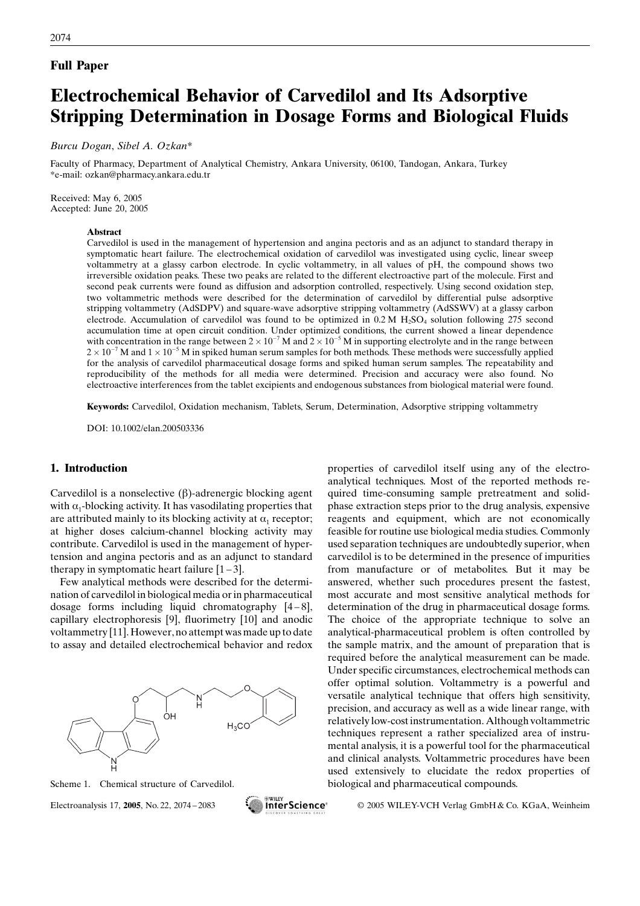# Full Paper

# Electrochemical Behavior of Carvedilol and Its Adsorptive Stripping Determination in Dosage Forms and Biological Fluids

Burcu Dogan, Sibel A. Ozkan\*

Faculty of Pharmacy, Department of Analytical Chemistry, Ankara University, 06100, Tandogan, Ankara, Turkey \*e-mail: ozkan@pharmacy.ankara.edu.tr

Received: May 6, 2005 Accepted: June 20, 2005

#### Abstract

Carvedilol is used in the management of hypertension and angina pectoris and as an adjunct to standard therapy in symptomatic heart failure. The electrochemical oxidation of carvedilol was investigated using cyclic, linear sweep voltammetry at a glassy carbon electrode. In cyclic voltammetry, in all values of pH, the compound shows two irreversible oxidation peaks. These two peaks are related to the different electroactive part of the molecule. First and second peak currents were found as diffusion and adsorption controlled, respectively. Using second oxidation step, two voltammetric methods were described for the determination of carvedilol by differential pulse adsorptive stripping voltammetry (AdSDPV) and square-wave adsorptive stripping voltammetry (AdSSWV) at a glassy carbon electrode. Accumulation of carvedilol was found to be optimized in  $0.2$  M  $H_2SO_4$  solution following 275 second accumulation time at open circuit condition. Under optimized conditions, the current showed a linear dependence with concentration in the range between  $2 \times 10^{-7}$  M and  $2 \times 10^{-5}$  M in supporting electrolyte and in the range between  $2 \times 10^{-7}$  M and  $1 \times 10^{-5}$  M in spiked human serum samples for both methods. These methods were successfully applied for the analysis of carvedilol pharmaceutical dosage forms and spiked human serum samples. The repeatability and reproducibility of the methods for all media were determined. Precision and accuracy were also found. No electroactive interferences from the tablet excipients and endogenous substances from biological material were found.

Keywords: Carvedilol, Oxidation mechanism, Tablets, Serum, Determination, Adsorptive stripping voltammetry

DOI: 10.1002/elan.200503336

# 1. Introduction

Carvedilol is a nonselective  $(\beta)$ -adrenergic blocking agent with  $\alpha_1$ -blocking activity. It has vasodilating properties that are attributed mainly to its blocking activity at  $\alpha_1$  receptor; at higher doses calcium-channel blocking activity may contribute. Carvedilol is used in the management of hypertension and angina pectoris and as an adjunct to standard therapy in symptomatic heart failure  $[1-3]$ .

Few analytical methods were described for the determination of carvedilol in biological media or in pharmaceutical dosage forms including liquid chromatography  $[4-8]$ , capillary electrophoresis [9], fluorimetry [10] and anodic voltammetry [11]. However, no attempt was made up to date to assay and detailed electrochemical behavior and redox



properties of carvedilol itself using any of the electroanalytical techniques. Most of the reported methods required time-consuming sample pretreatment and solidphase extraction steps prior to the drug analysis, expensive reagents and equipment, which are not economically feasible for routine use biological media studies. Commonly used separation techniques are undoubtedly superior, when carvedilol is to be determined in the presence of impurities from manufacture or of metabolites. But it may be answered, whether such procedures present the fastest, most accurate and most sensitive analytical methods for determination of the drug in pharmaceutical dosage forms. The choice of the appropriate technique to solve an analytical-pharmaceutical problem is often controlled by the sample matrix, and the amount of preparation that is required before the analytical measurement can be made. Under specific circumstances, electrochemical methods can offer optimal solution. Voltammetry is a powerful and versatile analytical technique that offers high sensitivity, precision, and accuracy as well as a wide linear range, with relatively low-cost instrumentation. Although voltammetric techniques represent a rather specialized area of instrumental analysis, it is a powerful tool for the pharmaceutical and clinical analysts. Voltammetric procedures have been used extensively to elucidate the redox properties of Scheme 1. Chemical structure of Carvedilol. biological and pharmaceutical compounds.

Electroanalysis 17, 2005, No. 22, 2074 – 2083 **Example PScience** © 2005 WILEY-VCH Verlag GmbH & Co. KGaA, Weinheim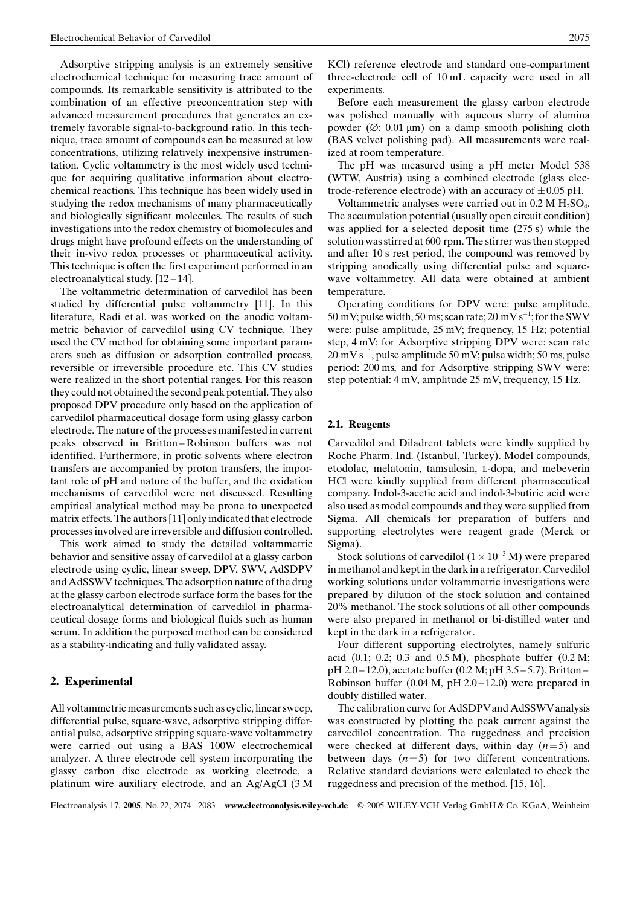Adsorptive stripping analysis is an extremely sensitive electrochemical technique for measuring trace amount of compounds. Its remarkable sensitivity is attributed to the combination of an effective preconcentration step with advanced measurement procedures that generates an extremely favorable signal-to-background ratio. In this technique, trace amount of compounds can be measured at low concentrations, utilizing relatively inexpensive instrumentation. Cyclic voltammetry is the most widely used technique for acquiring qualitative information about electrochemical reactions. This technique has been widely used in studying the redox mechanisms of many pharmaceutically and biologically significant molecules. The results of such investigations into the redox chemistry of biomolecules and drugs might have profound effects on the understanding of their in-vivo redox processes or pharmaceutical activity. This technique is often the first experiment performed in an electroanalytical study.  $[12-14]$ .

The voltammetric determination of carvedilol has been studied by differential pulse voltammetry [11]. In this literature, Radi et al. was worked on the anodic voltammetric behavior of carvedilol using CV technique. They used the CV method for obtaining some important parameters such as diffusion or adsorption controlled process, reversible or irreversible procedure etc. This CV studies were realized in the short potential ranges. For this reason they could not obtained the second peak potential. They also proposed DPV procedure only based on the application of carvedilol pharmaceutical dosage form using glassy carbon electrode. The nature of the processes manifested in current peaks observed in Britton – Robinson buffers was not identified. Furthermore, in protic solvents where electron transfers are accompanied by proton transfers, the important role of pH and nature of the buffer, and the oxidation mechanisms of carvedilol were not discussed. Resulting empirical analytical method may be prone to unexpected matrix effects. The authors [11] only indicated that electrode processes involved are irreversible and diffusion controlled.

This work aimed to study the detailed voltammetric behavior and sensitive assay of carvedilol at a glassy carbon electrode using cyclic, linear sweep, DPV, SWV, AdSDPV and AdSSWV techniques. The adsorption nature of the drug at the glassy carbon electrode surface form the bases for the electroanalytical determination of carvedilol in pharmaceutical dosage forms and biological fluids such as human serum. In addition the purposed method can be considered as a stability-indicating and fully validated assay.

## 2. Experimental

All voltammetric measurements such as cyclic, linear sweep, differential pulse, square-wave, adsorptive stripping differential pulse, adsorptive stripping square-wave voltammetry were carried out using a BAS 100W electrochemical analyzer. A three electrode cell system incorporating the glassy carbon disc electrode as working electrode, a platinum wire auxiliary electrode, and an Ag/AgCl (3 M

KCl) reference electrode and standard one-compartment three-electrode cell of 10 mL capacity were used in all experiments.

Before each measurement the glassy carbon electrode was polished manually with aqueous slurry of alumina powder  $(\emptyset: 0.01 \mu m)$  on a damp smooth polishing cloth (BAS velvet polishing pad). All measurements were realized at room temperature.

The pH was measured using a pH meter Model 538 (WTW, Austria) using a combined electrode (glass electrode-reference electrode) with an accuracy of  $\pm 0.05$  pH.

Voltammetric analyses were carried out in  $0.2 M H_2SO<sub>4</sub>$ . The accumulation potential (usually open circuit condition) was applied for a selected deposit time (275 s) while the solution was stirred at 600 rpm. The stirrer was then stopped and after 10 s rest period, the compound was removed by stripping anodically using differential pulse and squarewave voltammetry. All data were obtained at ambient temperature.

Operating conditions for DPV were: pulse amplitude, 50 mV; pulse width, 50 ms; scan rate; 20 mV s<sup>-1</sup>; for the SWV were: pulse amplitude, 25 mV; frequency, 15 Hz; potential step, 4 mV; for Adsorptive stripping DPV were: scan rate  $20 \text{ mV s}^{-1}$ , pulse amplitude 50 mV; pulse width; 50 ms, pulse period: 200 ms, and for Adsorptive stripping SWV were: step potential: 4 mV, amplitude 25 mV, frequency, 15 Hz.

#### 2.1. Reagents

Carvedilol and Diladrent tablets were kindly supplied by Roche Pharm. Ind. (Istanbul, Turkey). Model compounds, etodolac, melatonin, tamsulosin, l-dopa, and mebeverin HCl were kindly supplied from different pharmaceutical company. Indol-3-acetic acid and indol-3-butiric acid were also used as model compounds and they were supplied from Sigma. All chemicals for preparation of buffers and supporting electrolytes were reagent grade (Merck or Sigma).

Stock solutions of carvedilol  $(1 \times 10^{-3} \text{ M})$  were prepared in methanol and kept in the dark in a refrigerator. Carvedilol working solutions under voltammetric investigations were prepared by dilution of the stock solution and contained 20% methanol. The stock solutions of all other compounds were also prepared in methanol or bi-distilled water and kept in the dark in a refrigerator.

Four different supporting electrolytes, namely sulfuric acid  $(0.1; 0.2; 0.3 \text{ and } 0.5 \text{ M})$ , phosphate buffer  $(0.2 \text{ M};$ pH 2.0 – 12.0), acetate buffer (0.2 M; pH 3.5 – 5.7), Britton – Robinson buffer  $(0.04 \text{ M}, \text{pH } 2.0 - 12.0)$  were prepared in doubly distilled water.

The calibration curve for AdSDPVand AdSSWVanalysis was constructed by plotting the peak current against the carvedilol concentration. The ruggedness and precision were checked at different days, within day  $(n=5)$  and between days  $(n=5)$  for two different concentrations. Relative standard deviations were calculated to check the ruggedness and precision of the method. [15, 16].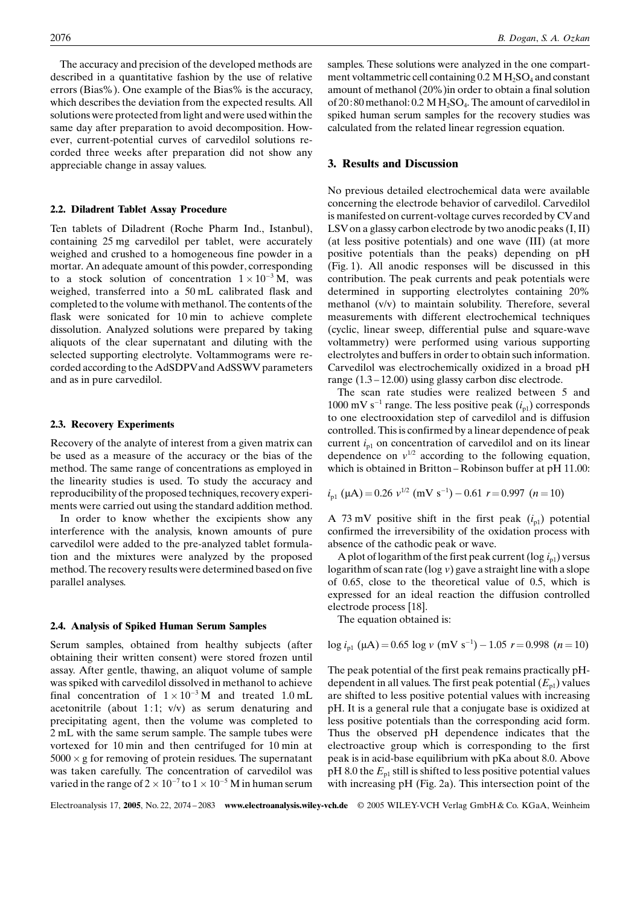The accuracy and precision of the developed methods are described in a quantitative fashion by the use of relative errors (Bias%). One example of the Bias% is the accuracy, which describes the deviation from the expected results. All solutions were protected from light and were used within the same day after preparation to avoid decomposition. However, current-potential curves of carvedilol solutions recorded three weeks after preparation did not show any appreciable change in assay values.

## 2.2. Diladrent Tablet Assay Procedure

Ten tablets of Diladrent (Roche Pharm Ind., Istanbul), containing 25 mg carvedilol per tablet, were accurately weighed and crushed to a homogeneous fine powder in a mortar. An adequate amount of this powder, corresponding to a stock solution of concentration  $1 \times 10^{-3}$  M, was weighed, transferred into a 50 mL calibrated flask and completed to the volume with methanol. The contents of the flask were sonicated for 10 min to achieve complete dissolution. Analyzed solutions were prepared by taking aliquots of the clear supernatant and diluting with the selected supporting electrolyte. Voltammograms were recorded according to the AdSDPVand AdSSWV parameters and as in pure carvedilol.

#### 2.3. Recovery Experiments

Recovery of the analyte of interest from a given matrix can be used as a measure of the accuracy or the bias of the method. The same range of concentrations as employed in the linearity studies is used. To study the accuracy and reproducibility of the proposed techniques, recovery experiments were carried out using the standard addition method.

In order to know whether the excipients show any interference with the analysis, known amounts of pure carvedilol were added to the pre-analyzed tablet formulation and the mixtures were analyzed by the proposed method. The recovery results were determined based on five parallel analyses.

#### 2.4. Analysis of Spiked Human Serum Samples

Serum samples, obtained from healthy subjects (after obtaining their written consent) were stored frozen until assay. After gentle, thawing, an aliquot volume of sample was spiked with carvedilol dissolved in methanol to achieve final concentration of  $1 \times 10^{-3}$  M and treated 1.0 mL acetonitrile (about 1:1;  $v/v$ ) as serum denaturing and precipitating agent, then the volume was completed to 2 mL with the same serum sample. The sample tubes were vortexed for 10 min and then centrifuged for 10 min at  $5000 \times g$  for removing of protein residues. The supernatant was taken carefully. The concentration of carvedilol was varied in the range of 2  $\times$  10<sup>-7</sup> to 1  $\times$  10<sup>-5</sup> M in human serum

samples. These solutions were analyzed in the one compartment voltammetric cell containing  $0.2 \text{ M H}_2\text{SO}_4$  and constant amount of methanol (20%)in order to obtain a final solution of  $20:80$  methanol:  $0.2 \text{ M H}_2\text{SO}_4$ . The amount of carvedilol in spiked human serum samples for the recovery studies was calculated from the related linear regression equation.

# 3. Results and Discussion

No previous detailed electrochemical data were available concerning the electrode behavior of carvedilol. Carvedilol is manifested on current-voltage curves recorded by CVand LSVon a glassy carbon electrode by two anodic peaks (I, II) (at less positive potentials) and one wave (III) (at more positive potentials than the peaks) depending on pH (Fig. 1). All anodic responses will be discussed in this contribution. The peak currents and peak potentials were determined in supporting electrolytes containing 20% methanol (v/v) to maintain solubility. Therefore, several measurements with different electrochemical techniques (cyclic, linear sweep, differential pulse and square-wave voltammetry) were performed using various supporting electrolytes and buffers in order to obtain such information. Carvedilol was electrochemically oxidized in a broad pH range (1.3 – 12.00) using glassy carbon disc electrode.

The scan rate studies were realized between 5 and 1000 mV s<sup>-1</sup> range. The less positive peak  $(i_{p1})$  corresponds to one electrooxidation step of carvedilol and is diffusion controlled. This is confirmed by a linear dependence of peak current  $i_{p1}$  on concentration of carvedilol and on its linear dependence on  $v^{1/2}$  according to the following equation, which is obtained in Britton – Robinson buffer at pH 11.00:

$$
i_{\text{p1}} \ (\mu\text{A}) = 0.26 \ v^{1/2} \ (\text{mV s}^{-1}) - 0.61 \ r = 0.997 \ (n = 10)
$$

A 73 mV positive shift in the first peak  $(i_{n1})$  potential confirmed the irreversibility of the oxidation process with absence of the cathodic peak or wave.

A plot of logarithm of the first peak current (log  $i_{p1}$ ) versus logarithm of scan rate (log  $v$ ) gave a straight line with a slope of 0.65, close to the theoretical value of 0.5, which is expressed for an ideal reaction the diffusion controlled electrode process [18].

The equation obtained is:

 $\log i_{\rm pl}$  (µA) = 0.65 log v (mV s<sup>-1</sup>) – 1.05 r = 0.998 (n = 10)

The peak potential of the first peak remains practically pHdependent in all values. The first peak potential  $(E_{p1})$  values are shifted to less positive potential values with increasing pH. It is a general rule that a conjugate base is oxidized at less positive potentials than the corresponding acid form. Thus the observed pH dependence indicates that the electroactive group which is corresponding to the first peak is in acid-base equilibrium with pKa about 8.0. Above pH 8.0 the  $E_{p1}$  still is shifted to less positive potential values with increasing pH (Fig. 2a). This intersection point of the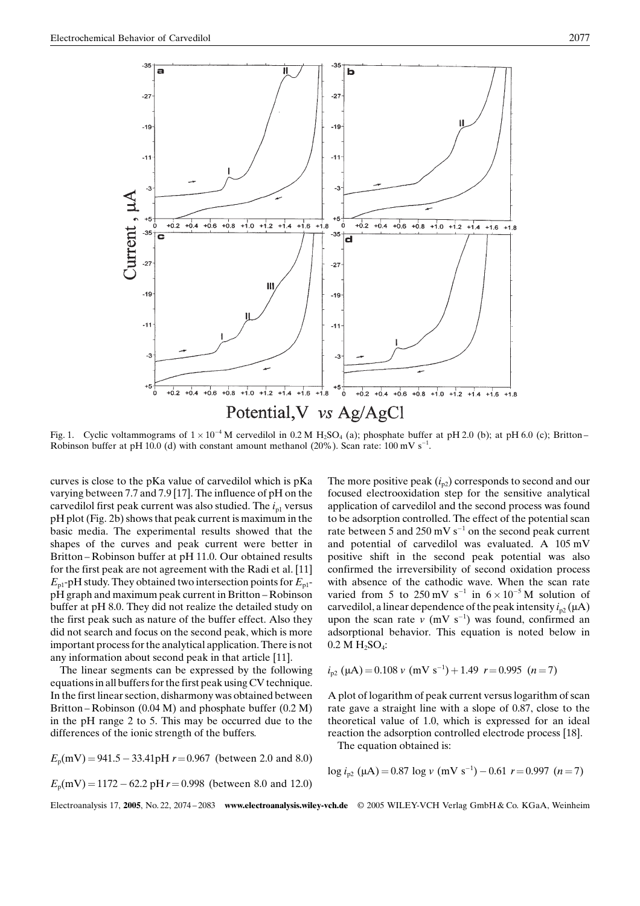

Fig. 1. Cyclic voltammograms of  $1 \times 10^{-4}$  M cervedilol in 0.2 M H<sub>2</sub>SO<sub>4</sub> (a); phosphate buffer at pH 2.0 (b); at pH 6.0 (c); Britton – Robinson buffer at pH 10.0 (d) with constant amount methanol (20%). Scan rate:  $100 \text{ mV s}^{-1}$ .

curves is close to the pKa value of carvedilol which is pKa varying between 7.7 and 7.9 [17]. The influence of pH on the carvedilol first peak current was also studied. The  $i_{p1}$  versus pH plot (Fig. 2b) shows that peak current is maximum in the basic media. The experimental results showed that the shapes of the curves and peak current were better in Britton – Robinson buffer at pH 11.0. Our obtained results for the first peak are not agreement with the Radi et al. [11]  $E_{\text{pl}}$ -pH study. They obtained two intersection points for  $E_{\text{pl}}$ pH graph and maximum peak current in Britton – Robinson buffer at pH 8.0. They did not realize the detailed study on the first peak such as nature of the buffer effect. Also they did not search and focus on the second peak, which is more important process for the analytical application. There is not any information about second peak in that article [11].

The linear segments can be expressed by the following equations in all buffers for the first peak using CV technique. In the first linear section, disharmony was obtained between Britton – Robinson (0.04 M) and phosphate buffer (0.2 M) in the pH range 2 to 5. This may be occurred due to the differences of the ionic strength of the buffers.

 $E_p(mV) = 941.5 - 33.41pH$   $r = 0.967$  (between 2.0 and 8.0)  $E_p(mV) = 1172 - 62.2 \text{ pH } r = 0.998 \text{ (between 8.0 and 12.0)}$  The more positive peak  $(i_{p2})$  corresponds to second and our focused electrooxidation step for the sensitive analytical application of carvedilol and the second process was found to be adsorption controlled. The effect of the potential scan rate between 5 and 250 mV  $s^{-1}$  on the second peak current and potential of carvedilol was evaluated. A 105 mV positive shift in the second peak potential was also confirmed the irreversibility of second oxidation process with absence of the cathodic wave. When the scan rate varied from 5 to 250 mV s<sup>-1</sup> in  $6 \times 10^{-5}$  M solution of carvedilol, a linear dependence of the peak intensity  $i_{n2} (\mu A)$ upon the scan rate  $v$  (mV s<sup>-1</sup>) was found, confirmed an adsorptional behavior. This equation is noted below in  $0.2 M H_2SO_4$ :

$$
i_{p2}
$$
 (µA) = 0.108 v (mV s<sup>-1</sup>) + 1.49 r = 0.995 (n = 7)

A plot of logarithm of peak current versus logarithm of scan rate gave a straight line with a slope of 0.87, close to the theoretical value of 1.0, which is expressed for an ideal reaction the adsorption controlled electrode process [18].

The equation obtained is:

$$
\log i_{\text{p2}} \ (\mu \text{A}) = 0.87 \ \log v \ (\text{mV s}^{-1}) - 0.61 \ r = 0.997 \ (n = 7)
$$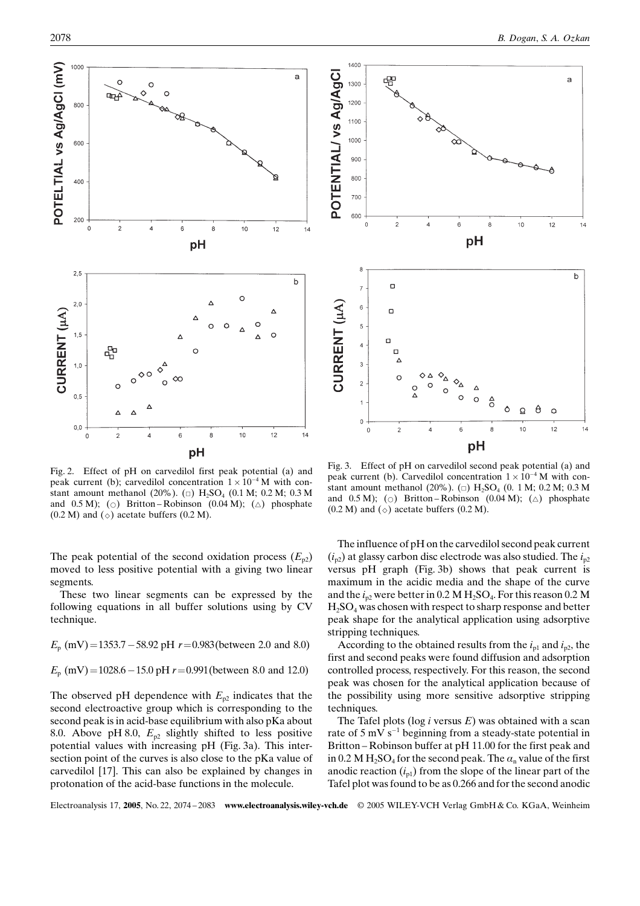

Fig. 2. Effect of pH on carvedilol first peak potential (a) and peak current (b); carvedilol concentration  $1 \times 10^{-4}$  M with constant amount methanol (20%). ( $\Box$ ) H<sub>2</sub>SO<sub>4</sub> (0.1 M; 0.2 M; 0.3 M and 0.5 M); ( $\circ$ ) Britton – Robinson (0.04 M); ( $\triangle$ ) phosphate  $(0.2 M)$  and  $(\diamond)$  acetate buffers  $(0.2 M)$ .

The peak potential of the second oxidation process  $(E_{p2})$ moved to less positive potential with a giving two linear segments.

These two linear segments can be expressed by the following equations in all buffer solutions using by CV technique.

 $E_p$  (mV) = 1353.7 – 58.92 pH r = 0.983(between 2.0 and 8.0)

 $E_p$  (mV) = 1028.6 – 15.0 pH r = 0.991 (between 8.0 and 12.0)

The observed pH dependence with  $E_{p2}$  indicates that the second electroactive group which is corresponding to the second peak is in acid-base equilibrium with also pKa about 8.0. Above pH 8.0,  $E_{p2}$  slightly shifted to less positive potential values with increasing pH (Fig. 3a). This intersection point of the curves is also close to the pKa value of carvedilol [17]. This can also be explained by changes in protonation of the acid-base functions in the molecule.



Fig. 3. Effect of pH on carvedilol second peak potential (a) and peak current (b). Carvedilol concentration  $1 \times 10^{-4}$  M with constant amount methanol (20%). ( $\Box$ ) H<sub>2</sub>SO<sub>4</sub> (0. 1 M; 0.2 M; 0.3 M and 0.5 M); ( $\circ$ ) Britton – Robinson (0.04 M); ( $\triangle$ ) phosphate  $(0.2 M)$  and  $(\diamond)$  acetate buffers  $(0.2 M)$ .

The influence of pH on the carvedilol second peak current  $(i_{p2})$  at glassy carbon disc electrode was also studied. The  $i_{p2}$ versus pH graph (Fig. 3b) shows that peak current is maximum in the acidic media and the shape of the curve and the  $i_{n2}$  were better in 0.2 M H<sub>2</sub>SO<sub>4</sub>. For this reason 0.2 M  $H<sub>2</sub>SO<sub>4</sub>$  was chosen with respect to sharp response and better peak shape for the analytical application using adsorptive stripping techniques.

According to the obtained results from the  $i_{n1}$  and  $i_{n2}$ , the first and second peaks were found diffusion and adsorption controlled process, respectively. For this reason, the second peak was chosen for the analytical application because of the possibility using more sensitive adsorptive stripping techniques.

The Tafel plots (log i versus  $E$ ) was obtained with a scan rate of 5 mV  $s^{-1}$  beginning from a steady-state potential in Britton – Robinson buffer at pH 11.00 for the first peak and in 0.2 M H<sub>2</sub>SO<sub>4</sub> for the second peak. The  $\alpha_n$  value of the first anodic reaction  $(i<sub>p1</sub>)$  from the slope of the linear part of the Tafel plot was found to be as 0.266 and for the second anodic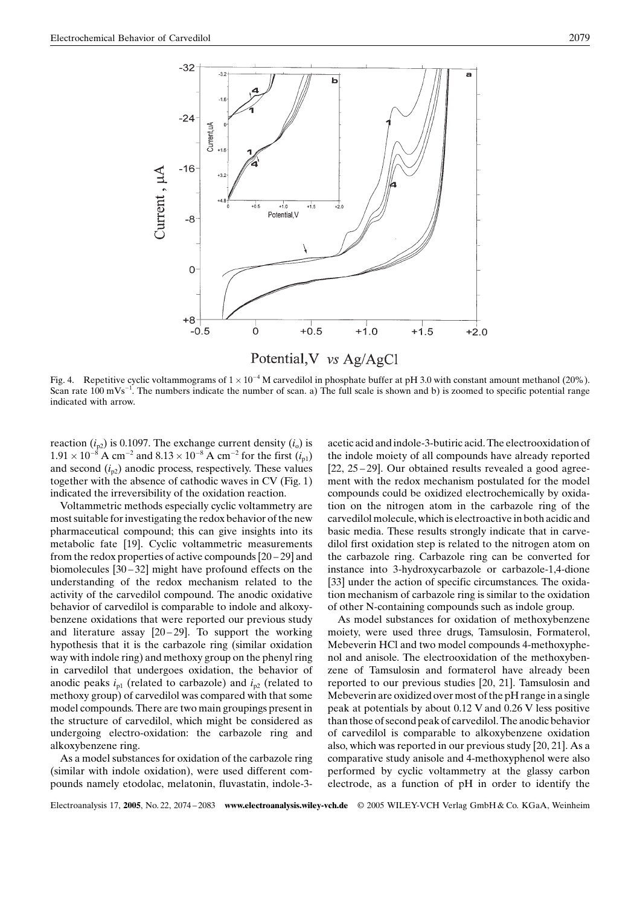

Fig. 4. Repetitive cyclic voltammograms of  $1 \times 10^{-4}$  M carvedilol in phosphate buffer at pH 3.0 with constant amount methanol (20%). Scan rate  $100 \text{ mVs}^{-1}$ . The numbers indicate the number of scan. a) The full scale is shown and b) is zoomed to specific potential range indicated with arrow.

reaction  $(i_{p2})$  is 0.1097. The exchange current density  $(i_o)$  is  $1.91 \times 10^{-8}$  A cm<sup>-2</sup> and  $8.13 \times 10^{-8}$  A cm<sup>-2</sup> for the first  $(i_{p1})$ and second  $(i_{p2})$  anodic process, respectively. These values together with the absence of cathodic waves in CV (Fig. 1) indicated the irreversibility of the oxidation reaction.

Voltammetric methods especially cyclic voltammetry are most suitable for investigating the redox behavior of the new pharmaceutical compound; this can give insights into its metabolic fate [19]. Cyclic voltammetric measurements from the redox properties of active compounds  $[20-29]$  and biomolecules [30 – 32] might have profound effects on the understanding of the redox mechanism related to the activity of the carvedilol compound. The anodic oxidative behavior of carvedilol is comparable to indole and alkoxybenzene oxidations that were reported our previous study and literature assay  $[20-29]$ . To support the working hypothesis that it is the carbazole ring (similar oxidation way with indole ring) and methoxy group on the phenyl ring in carvedilol that undergoes oxidation, the behavior of anodic peaks  $i_{p1}$  (related to carbazole) and  $i_{p2}$  (related to methoxy group) of carvedilol was compared with that some model compounds. There are two main groupings present in the structure of carvedilol, which might be considered as undergoing electro-oxidation: the carbazole ring and alkoxybenzene ring.

As a model substances for oxidation of the carbazole ring (similar with indole oxidation), were used different compounds namely etodolac, melatonin, fluvastatin, indole-3-

acetic acid and indole-3-butiric acid. The electrooxidation of the indole moiety of all compounds have already reported [22, 25 – 29]. Our obtained results revealed a good agreement with the redox mechanism postulated for the model compounds could be oxidized electrochemically by oxidation on the nitrogen atom in the carbazole ring of the carvedilol molecule, which is electroactive in both acidic and basic media. These results strongly indicate that in carvedilol first oxidation step is related to the nitrogen atom on the carbazole ring. Carbazole ring can be converted for instance into 3-hydroxycarbazole or carbazole-1,4-dione [33] under the action of specific circumstances. The oxidation mechanism of carbazole ring is similar to the oxidation of other N-containing compounds such as indole group.

As model substances for oxidation of methoxybenzene moiety, were used three drugs, Tamsulosin, Formaterol, Mebeverin HCl and two model compounds 4-methoxyphenol and anisole. The electrooxidation of the methoxybenzene of Tamsulosin and formaterol have already been reported to our previous studies [20, 21]. Tamsulosin and Mebeverin are oxidized over most of the pH range in a single peak at potentials by about 0.12 V and 0.26 V less positive than those of second peak of carvedilol. The anodic behavior of carvedilol is comparable to alkoxybenzene oxidation also, which was reported in our previous study [20, 21]. As a comparative study anisole and 4-methoxyphenol were also performed by cyclic voltammetry at the glassy carbon electrode, as a function of pH in order to identify the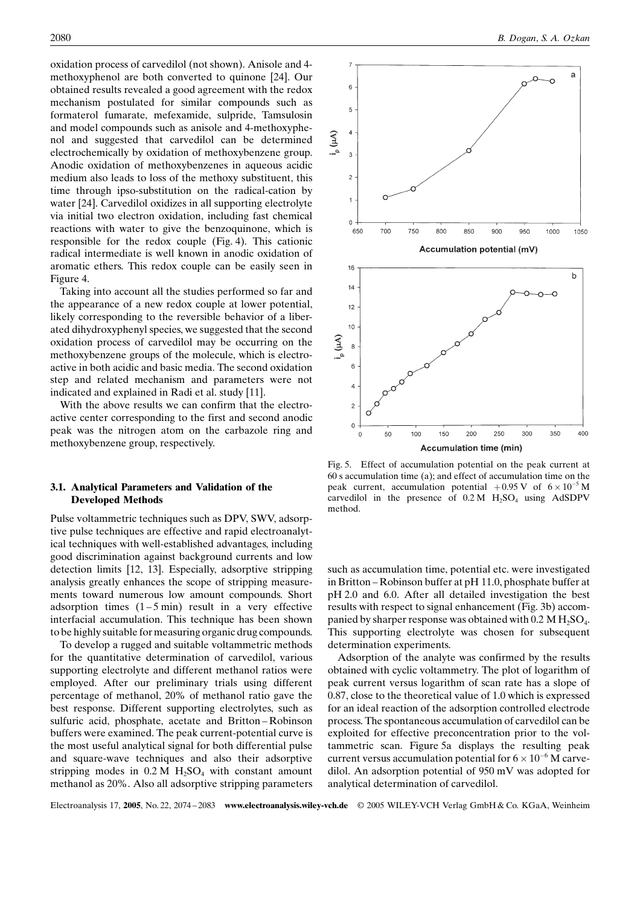oxidation process of carvedilol (not shown). Anisole and 4 methoxyphenol are both converted to quinone [24]. Our obtained results revealed a good agreement with the redox mechanism postulated for similar compounds such as formaterol fumarate, mefexamide, sulpride, Tamsulosin and model compounds such as anisole and 4-methoxyphenol and suggested that carvedilol can be determined electrochemically by oxidation of methoxybenzene group. Anodic oxidation of methoxybenzenes in aqueous acidic medium also leads to loss of the methoxy substituent, this time through ipso-substitution on the radical-cation by water [24]. Carvedilol oxidizes in all supporting electrolyte via initial two electron oxidation, including fast chemical reactions with water to give the benzoquinone, which is responsible for the redox couple (Fig. 4). This cationic radical intermediate is well known in anodic oxidation of aromatic ethers. This redox couple can be easily seen in Figure 4.

Taking into account all the studies performed so far and the appearance of a new redox couple at lower potential, likely corresponding to the reversible behavior of a liberated dihydroxyphenyl species, we suggested that the second oxidation process of carvedilol may be occurring on the methoxybenzene groups of the molecule, which is electroactive in both acidic and basic media. The second oxidation step and related mechanism and parameters were not indicated and explained in Radi et al. study [11].

With the above results we can confirm that the electroactive center corresponding to the first and second anodic peak was the nitrogen atom on the carbazole ring and methoxybenzene group, respectively.

# 3.1. Analytical Parameters and Validation of the Developed Methods

Pulse voltammetric techniques such as DPV, SWV, adsorptive pulse techniques are effective and rapid electroanalytical techniques with well-established advantages, including good discrimination against background currents and low detection limits [12, 13]. Especially, adsorptive stripping analysis greatly enhances the scope of stripping measurements toward numerous low amount compounds. Short adsorption times  $(1-5 \text{ min})$  result in a very effective interfacial accumulation. This technique has been shown to be highly suitable for measuring organic drug compounds.

To develop a rugged and suitable voltammetric methods for the quantitative determination of carvedilol, various supporting electrolyte and different methanol ratios were employed. After our preliminary trials using different percentage of methanol, 20% of methanol ratio gave the best response. Different supporting electrolytes, such as sulfuric acid, phosphate, acetate and Britton – Robinson buffers were examined. The peak current-potential curve is the most useful analytical signal for both differential pulse and square-wave techniques and also their adsorptive stripping modes in  $0.2 M H<sub>2</sub>SO<sub>4</sub>$  with constant amount methanol as 20%. Also all adsorptive stripping parameters



Fig. 5. Effect of accumulation potential on the peak current at 60 s accumulation time (a); and effect of accumulation time on the peak current, accumulation potential  $+0.95 \text{ V}$  of  $6 \times 10^{-5} \text{ M}$ carvedilol in the presence of  $0.2 M H_2SO_4$  using AdSDPV method.

such as accumulation time, potential etc. were investigated in Britton – Robinson buffer at pH 11.0, phosphate buffer at pH 2.0 and 6.0. After all detailed investigation the best results with respect to signal enhancement (Fig. 3b) accompanied by sharper response was obtained with 0.2 M  $H_2SO_4$ . This supporting electrolyte was chosen for subsequent determination experiments.

Adsorption of the analyte was confirmed by the results obtained with cyclic voltammetry. The plot of logarithm of peak current versus logarithm of scan rate has a slope of 0.87, close to the theoretical value of 1.0 which is expressed for an ideal reaction of the adsorption controlled electrode process. The spontaneous accumulation of carvedilol can be exploited for effective preconcentration prior to the voltammetric scan. Figure 5a displays the resulting peak current versus accumulation potential for  $6 \times 10^{-6}$  M carvedilol. An adsorption potential of 950 mV was adopted for analytical determination of carvedilol.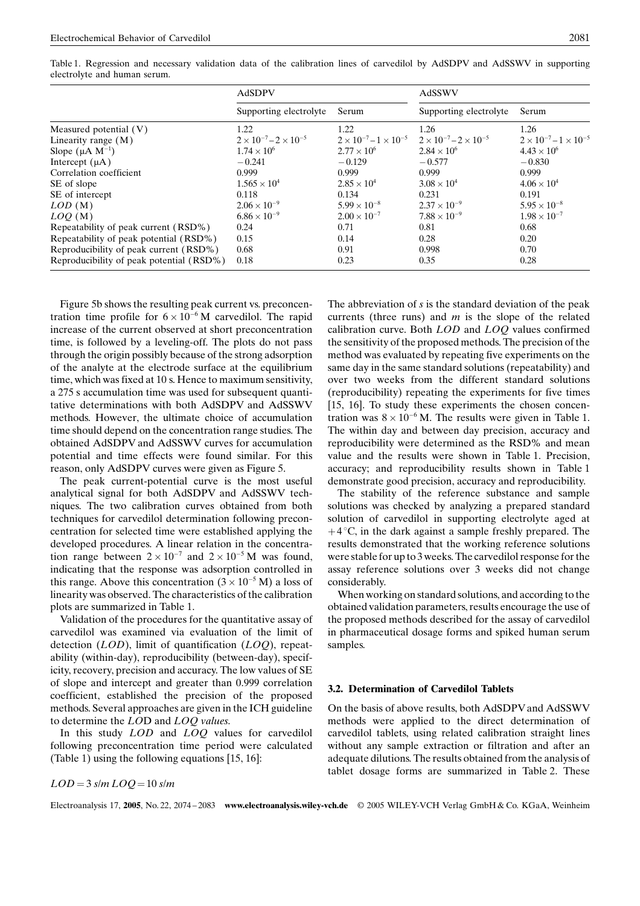|                                          | AdSDPV                                |                                       | AdSSWV                                |                                       |
|------------------------------------------|---------------------------------------|---------------------------------------|---------------------------------------|---------------------------------------|
|                                          | Supporting electrolyte                | Serum                                 | Supporting electrolyte                | Serum                                 |
| Measured potential $(V)$                 | 1.22                                  | 1.22                                  | 1.26                                  | 1.26                                  |
| Linearity range $(M)$                    | $2 \times 10^{-7} - 2 \times 10^{-5}$ | $2 \times 10^{-7} - 1 \times 10^{-5}$ | $2 \times 10^{-7} - 2 \times 10^{-5}$ | $2 \times 10^{-7} - 1 \times 10^{-5}$ |
| Slope ( $\mu$ A M <sup>-1</sup> )        | $1.74 \times 10^{6}$                  | $2.77 \times 10^{6}$                  | $2.84 \times 10^{6}$                  | $4.43 \times 10^{6}$                  |
| Intercept $(\mu A)$                      | $-0.241$                              | $-0.129$                              | $-0.577$                              | $-0.830$                              |
| Correlation coefficient                  | 0.999                                 | 0.999                                 | 0.999                                 | 0.999                                 |
| SE of slope                              | $1.565 \times 10^{4}$                 | $2.85 \times 10^{4}$                  | $3.08 \times 10^{4}$                  | $4.06 \times 10^{4}$                  |
| SE of intercept                          | 0.118                                 | 0.134                                 | 0.231                                 | 0.191                                 |
| LOD(M)                                   | $2.06 \times 10^{-9}$                 | $5.99 \times 10^{-8}$                 | $2.37 \times 10^{-9}$                 | $5.95 \times 10^{-8}$                 |
| LOO(M)                                   | $6.86 \times 10^{-9}$                 | $2.00 \times 10^{-7}$                 | $7.88 \times 10^{-9}$                 | $1.98 \times 10^{-7}$                 |
| Repeatability of peak current (RSD%)     | 0.24                                  | 0.71                                  | 0.81                                  | 0.68                                  |
| Repeatability of peak potential (RSD%)   | 0.15                                  | 0.14                                  | 0.28                                  | 0.20                                  |
| Reproducibility of peak current (RSD%)   | 0.68                                  | 0.91                                  | 0.998                                 | 0.70                                  |
| Reproducibility of peak potential (RSD%) | 0.18                                  | 0.23                                  | 0.35                                  | 0.28                                  |

Table 1. Regression and necessary validation data of the calibration lines of carvedilol by AdSDPV and AdSSWV in supporting electrolyte and human serum.

Figure 5b shows the resulting peak current vs. preconcentration time profile for  $6 \times 10^{-6}$  M carvedilol. The rapid increase of the current observed at short preconcentration time, is followed by a leveling-off. The plots do not pass through the origin possibly because of the strong adsorption of the analyte at the electrode surface at the equilibrium time, which was fixed at 10 s. Hence to maximum sensitivity, a 275 s accumulation time was used for subsequent quantitative determinations with both AdSDPV and AdSSWV methods. However, the ultimate choice of accumulation time should depend on the concentration range studies. The obtained AdSDPV and AdSSWV curves for accumulation potential and time effects were found similar. For this reason, only AdSDPV curves were given as Figure 5.

The peak current-potential curve is the most useful analytical signal for both AdSDPV and AdSSWV techniques. The two calibration curves obtained from both techniques for carvedilol determination following preconcentration for selected time were established applying the developed procedures. A linear relation in the concentration range between  $2 \times 10^{-7}$  and  $2 \times 10^{-5}$  M was found, indicating that the response was adsorption controlled in this range. Above this concentration  $(3 \times 10^{-5} \text{ M})$  a loss of linearity was observed. The characteristics of the calibration plots are summarized in Table 1.

Validation of the procedures for the quantitative assay of carvedilol was examined via evaluation of the limit of detection  $(LOD)$ , limit of quantification  $(LOO)$ , repeatability (within-day), reproducibility (between-day), specificity, recovery, precision and accuracy. The low values of SE of slope and intercept and greater than 0.999 correlation coefficient, established the precision of the proposed methods. Several approaches are given in the ICH guideline to determine the LOD and LOQ values.

In this study LOD and LOQ values for carvedilol following preconcentration time period were calculated (Table 1) using the following equations [15, 16]:

The abbreviation of s is the standard deviation of the peak currents (three runs) and  $m$  is the slope of the related calibration curve. Both LOD and LOQ values confirmed the sensitivity of the proposed methods. The precision of the method was evaluated by repeating five experiments on the same day in the same standard solutions (repeatability) and over two weeks from the different standard solutions (reproducibility) repeating the experiments for five times [15, 16]. To study these experiments the chosen concentration was  $8 \times 10^{-6}$  M. The results were given in Table 1. The within day and between day precision, accuracy and reproducibility were determined as the RSD% and mean value and the results were shown in Table 1. Precision, accuracy; and reproducibility results shown in Table 1 demonstrate good precision, accuracy and reproducibility.

The stability of the reference substance and sample solutions was checked by analyzing a prepared standard solution of carvedilol in supporting electrolyte aged at  $+4^{\circ}$ C, in the dark against a sample freshly prepared. The results demonstrated that the working reference solutions were stable for up to 3 weeks. The carvedilol response for the assay reference solutions over 3 weeks did not change considerably.

When working on standard solutions, and according to the obtained validation parameters, results encourage the use of the proposed methods described for the assay of carvedilol in pharmaceutical dosage forms and spiked human serum samples.

## 3.2. Determination of Carvedilol Tablets

On the basis of above results, both AdSDPV and AdSSWV methods were applied to the direct determination of carvedilol tablets, using related calibration straight lines without any sample extraction or filtration and after an adequate dilutions. The results obtained from the analysis of tablet dosage forms are summarized in Table 2. These

 $LOD = 3$  s/m  $LOO = 10$  s/m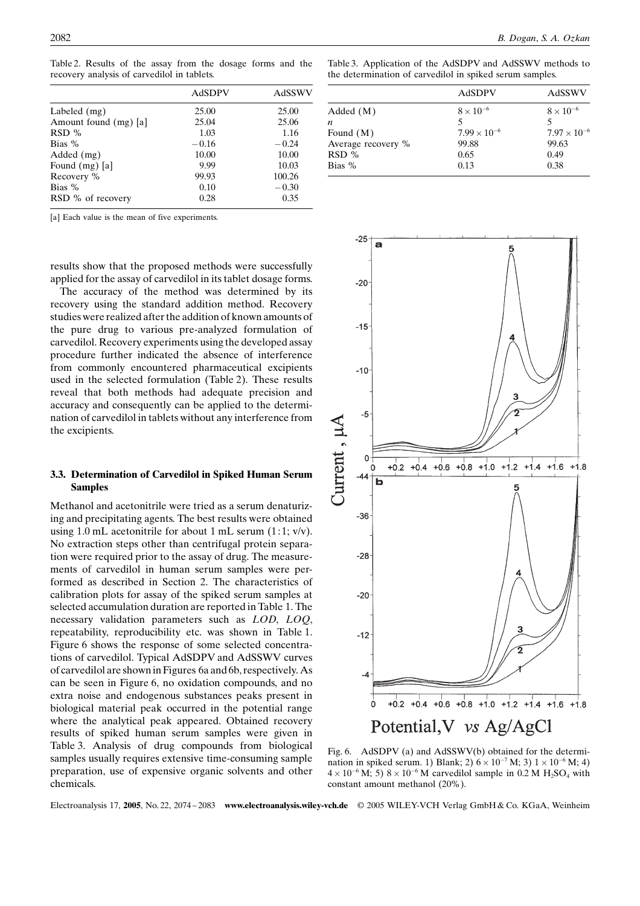Table 2. Results of the assay from the dosage forms and the recovery analysis of carvedilol in tablets.

|                       | AdSDPV  | AdSSWV  |
|-----------------------|---------|---------|
| Labeled $(mg)$        | 25.00   | 25.00   |
| Amount found (mg) [a] | 25.04   | 25.06   |
| RSD %                 | 1.03    | 1.16    |
| Bias %                | $-0.16$ | $-0.24$ |
| $Added$ (mg)          | 10.00   | 10.00   |
| Found $(mg)$ [a]      | 9.99    | 10.03   |
| Recovery %            | 99.93   | 100.26  |
| Bias %                | 0.10    | $-0.30$ |
| RSD % of recovery     | 0.28    | 0.35    |

[a] Each value is the mean of five experiments.

results show that the proposed methods were successfully applied for the assay of carvedilol in its tablet dosage forms.

The accuracy of the method was determined by its recovery using the standard addition method. Recovery studies were realized after the addition of known amounts of the pure drug to various pre-analyzed formulation of carvedilol. Recovery experiments using the developed assay procedure further indicated the absence of interference from commonly encountered pharmaceutical excipients used in the selected formulation (Table 2). These results reveal that both methods had adequate precision and accuracy and consequently can be applied to the determination of carvedilol in tablets without any interference from the excipients.

## 3.3. Determination of Carvedilol in Spiked Human Serum Samples

Methanol and acetonitrile were tried as a serum denaturizing and precipitating agents. The best results were obtained using 1.0 mL acetonitrile for about 1 mL serum  $(1:1; v/v)$ . No extraction steps other than centrifugal protein separation were required prior to the assay of drug. The measurements of carvedilol in human serum samples were performed as described in Section 2. The characteristics of calibration plots for assay of the spiked serum samples at selected accumulation duration are reported in Table 1. The necessary validation parameters such as LOD, LOQ, repeatability, reproducibility etc. was shown in Table 1. Figure 6 shows the response of some selected concentrations of carvedilol. Typical AdSDPV and AdSSWV curves of carvedilol are shown in Figures 6a and 6b, respectively. As can be seen in Figure 6, no oxidation compounds, and no extra noise and endogenous substances peaks present in biological material peak occurred in the potential range where the analytical peak appeared. Obtained recovery results of spiked human serum samples were given in Table 3. Analysis of drug compounds from biological samples usually requires extensive time-consuming sample preparation, use of expensive organic solvents and other chemicals.

Table 3. Application of the AdSDPV and AdSSWV methods to the determination of carvedilol in spiked serum samples.

|                    | AdSDPV                | AdSSWV                |
|--------------------|-----------------------|-----------------------|
| Added (M)          | $8\times10^{-6}$      | $8\times10^{-6}$      |
| n                  |                       |                       |
| Found (M)          | $7.99 \times 10^{-6}$ | $7.97 \times 10^{-6}$ |
| Average recovery % | 99.88                 | 99.63                 |
| RSD %              | 0.65                  | 0.49                  |
| Bias %             | 0.13                  | 0.38                  |



Fig. 6. AdSDPV (a) and AdSSWV(b) obtained for the determination in spiked serum. 1) Blank; 2)  $6 \times 10^{-7}$  M; 3)  $1 \times 10^{-6}$  M; 4)  $4 \times 10^{-6}$  M; 5)  $8 \times 10^{-6}$  M carvedilol sample in 0.2 M H<sub>2</sub>SO<sub>4</sub> with constant amount methanol (20%).